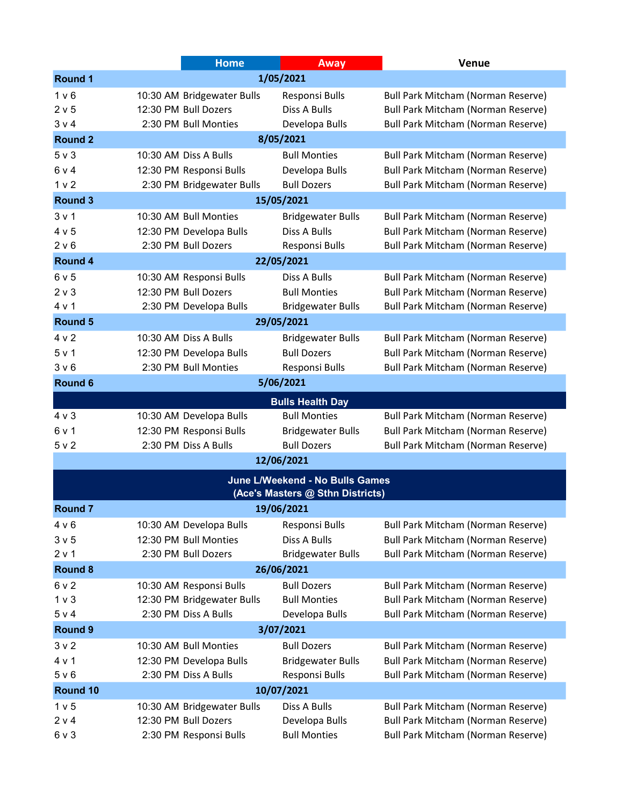|                              |                                  | <b>Home</b>                | Away                            | <b>Venue</b>                              |  |  |  |
|------------------------------|----------------------------------|----------------------------|---------------------------------|-------------------------------------------|--|--|--|
| 1/05/2021<br><b>Round 1</b>  |                                  |                            |                                 |                                           |  |  |  |
| 1 <sub>v</sub> 6             |                                  | 10:30 AM Bridgewater Bulls | Responsi Bulls                  | Bull Park Mitcham (Norman Reserve)        |  |  |  |
| 2 v 5                        |                                  | 12:30 PM Bull Dozers       | Diss A Bulls                    | <b>Bull Park Mitcham (Norman Reserve)</b> |  |  |  |
| 3 v 4                        |                                  | 2:30 PM Bull Monties       | Developa Bulls                  | <b>Bull Park Mitcham (Norman Reserve)</b> |  |  |  |
| 8/05/2021<br><b>Round 2</b>  |                                  |                            |                                 |                                           |  |  |  |
| $5v$ 3                       |                                  | 10:30 AM Diss A Bulls      | <b>Bull Monties</b>             | Bull Park Mitcham (Norman Reserve)        |  |  |  |
| 6 v 4                        |                                  | 12:30 PM Responsi Bulls    | Developa Bulls                  | <b>Bull Park Mitcham (Norman Reserve)</b> |  |  |  |
| 1 <sub>v</sub>               |                                  | 2:30 PM Bridgewater Bulls  | <b>Bull Dozers</b>              | <b>Bull Park Mitcham (Norman Reserve)</b> |  |  |  |
| <b>Round 3</b><br>15/05/2021 |                                  |                            |                                 |                                           |  |  |  |
| 3 <sub>v</sub> 1             |                                  | 10:30 AM Bull Monties      | <b>Bridgewater Bulls</b>        | Bull Park Mitcham (Norman Reserve)        |  |  |  |
| 4 v 5                        |                                  | 12:30 PM Developa Bulls    | Diss A Bulls                    | Bull Park Mitcham (Norman Reserve)        |  |  |  |
| 2 v 6                        |                                  | 2:30 PM Bull Dozers        | Responsi Bulls                  | <b>Bull Park Mitcham (Norman Reserve)</b> |  |  |  |
| 22/05/2021<br><b>Round 4</b> |                                  |                            |                                 |                                           |  |  |  |
| 6v5                          |                                  | 10:30 AM Responsi Bulls    | Diss A Bulls                    | <b>Bull Park Mitcham (Norman Reserve)</b> |  |  |  |
| $2 \vee 3$                   |                                  | 12:30 PM Bull Dozers       | <b>Bull Monties</b>             | <b>Bull Park Mitcham (Norman Reserve)</b> |  |  |  |
| 4 v 1                        |                                  | 2:30 PM Developa Bulls     | <b>Bridgewater Bulls</b>        | <b>Bull Park Mitcham (Norman Reserve)</b> |  |  |  |
| 29/05/2021<br><b>Round 5</b> |                                  |                            |                                 |                                           |  |  |  |
| 4 v 2                        |                                  | 10:30 AM Diss A Bulls      | <b>Bridgewater Bulls</b>        | <b>Bull Park Mitcham (Norman Reserve)</b> |  |  |  |
| 5 v 1                        |                                  | 12:30 PM Developa Bulls    | <b>Bull Dozers</b>              | Bull Park Mitcham (Norman Reserve)        |  |  |  |
| 3 <sub>v</sub> 6             |                                  | 2:30 PM Bull Monties       | Responsi Bulls                  | <b>Bull Park Mitcham (Norman Reserve)</b> |  |  |  |
| <b>Round 6</b>               |                                  |                            | 5/06/2021                       |                                           |  |  |  |
|                              |                                  |                            | <b>Bulls Health Day</b>         |                                           |  |  |  |
| $4 \vee 3$                   |                                  | 10:30 AM Developa Bulls    | <b>Bull Monties</b>             | <b>Bull Park Mitcham (Norman Reserve)</b> |  |  |  |
| 6 v 1                        |                                  | 12:30 PM Responsi Bulls    | <b>Bridgewater Bulls</b>        | Bull Park Mitcham (Norman Reserve)        |  |  |  |
| 5 v 2                        |                                  | 2:30 PM Diss A Bulls       | <b>Bull Dozers</b>              | <b>Bull Park Mitcham (Norman Reserve)</b> |  |  |  |
|                              |                                  |                            | 12/06/2021                      |                                           |  |  |  |
|                              |                                  |                            | June L/Weekend - No Bulls Games |                                           |  |  |  |
|                              | (Ace's Masters @ Sthn Districts) |                            |                                 |                                           |  |  |  |
| <b>Round 7</b>               |                                  |                            | 19/06/2021                      |                                           |  |  |  |
| 4 v 6                        |                                  | 10:30 AM Developa Bulls    | Responsi Bulls                  | Bull Park Mitcham (Norman Reserve)        |  |  |  |
| 3 <sub>v</sub> 5             |                                  | 12:30 PM Bull Monties      | Diss A Bulls                    | Bull Park Mitcham (Norman Reserve)        |  |  |  |
| 2 v 1                        |                                  | 2:30 PM Bull Dozers        | <b>Bridgewater Bulls</b>        | <b>Bull Park Mitcham (Norman Reserve)</b> |  |  |  |
| 26/06/2021<br><b>Round 8</b> |                                  |                            |                                 |                                           |  |  |  |
| 6 v 2                        |                                  | 10:30 AM Responsi Bulls    | <b>Bull Dozers</b>              | <b>Bull Park Mitcham (Norman Reserve)</b> |  |  |  |
| 1 <sub>v</sub>               |                                  | 12:30 PM Bridgewater Bulls | <b>Bull Monties</b>             | <b>Bull Park Mitcham (Norman Reserve)</b> |  |  |  |
| 5 v 4                        |                                  | 2:30 PM Diss A Bulls       | Developa Bulls                  | <b>Bull Park Mitcham (Norman Reserve)</b> |  |  |  |
| <b>Round 9</b><br>3/07/2021  |                                  |                            |                                 |                                           |  |  |  |
| 3 <sub>v</sub>               |                                  | 10:30 AM Bull Monties      | <b>Bull Dozers</b>              | <b>Bull Park Mitcham (Norman Reserve)</b> |  |  |  |
| 4 v 1                        |                                  | 12:30 PM Developa Bulls    | <b>Bridgewater Bulls</b>        | Bull Park Mitcham (Norman Reserve)        |  |  |  |
| 5 v 6                        |                                  | 2:30 PM Diss A Bulls       | Responsi Bulls                  | <b>Bull Park Mitcham (Norman Reserve)</b> |  |  |  |
| Round 10<br>10/07/2021       |                                  |                            |                                 |                                           |  |  |  |
| 1 <sub>v</sub> 5             |                                  | 10:30 AM Bridgewater Bulls | Diss A Bulls                    | <b>Bull Park Mitcham (Norman Reserve)</b> |  |  |  |
| 2 v 4                        |                                  | 12:30 PM Bull Dozers       | Developa Bulls                  | <b>Bull Park Mitcham (Norman Reserve)</b> |  |  |  |
| 6 v 3                        |                                  | 2:30 PM Responsi Bulls     | <b>Bull Monties</b>             | <b>Bull Park Mitcham (Norman Reserve)</b> |  |  |  |